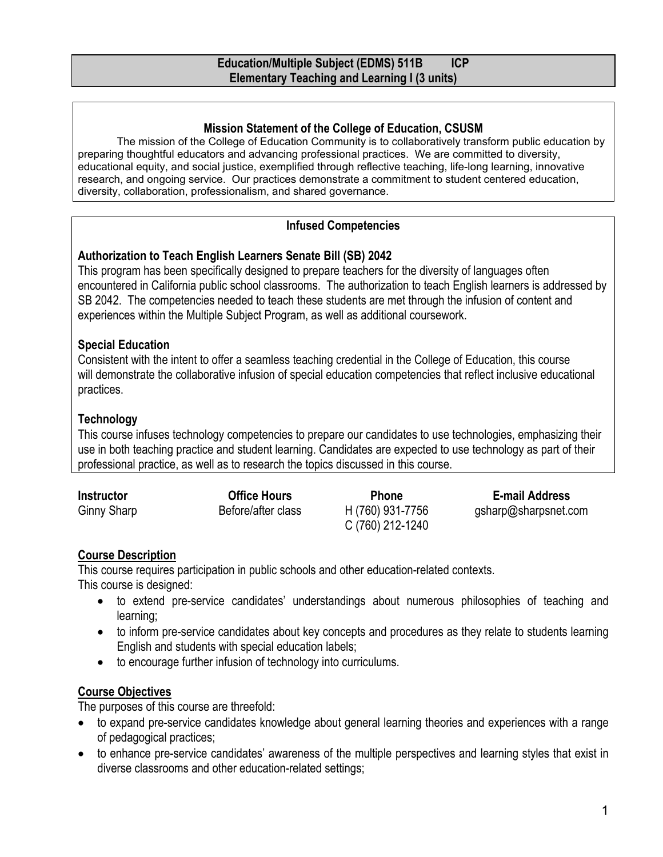#### **Mission Statement of the College of Education, CSUSM**

The mission of the College of Education Community is to collaboratively transform public education by preparing thoughtful educators and advancing professional practices. We are committed to diversity, educational equity, and social justice, exemplified through reflective teaching, life-long learning, innovative research, and ongoing service. Our practices demonstrate a commitment to student centered education, diversity, collaboration, professionalism, and shared governance.

# **Infused Competencies**

# **Authorization to Teach English Learners Senate Bill (SB) 2042**

This program has been specifically designed to prepare teachers for the diversity of languages often encountered in California public school classrooms. The authorization to teach English learners is addressed by SB 2042. The competencies needed to teach these students are met through the infusion of content and experiences within the Multiple Subject Program, as well as additional coursework.

# **Special Education**

Consistent with the intent to offer a seamless teaching credential in the College of Education, this course will demonstrate the collaborative infusion of special education competencies that reflect inclusive educational practices.

# **Technology**

This course infuses technology competencies to prepare our candidates to use technologies, emphasizing their use in both teaching practice and student learning. Candidates are expected to use technology as part of their professional practice, as well as to research the topics discussed in this course.

| Instructor  | <b>Office Hours</b> | <b>Phone</b>                         | E-mail Address       |
|-------------|---------------------|--------------------------------------|----------------------|
| Ginny Sharp | Before/after class  | H (760) 931-7756<br>C (760) 212-1240 | gsharp@sharpsnet.com |

# **Course Description**

This course requires participation in public schools and other education-related contexts. This course is designed:

- to extend pre-service candidates' understandings about numerous philosophies of teaching and learning;
- to inform pre-service candidates about key concepts and procedures as they relate to students learning English and students with special education labels;
- to encourage further infusion of technology into curriculums.

# **Course Objectives**

The purposes of this course are threefold:

- to expand pre-service candidates knowledge about general learning theories and experiences with a range of pedagogical practices;
- to enhance pre-service candidates' awareness of the multiple perspectives and learning styles that exist in diverse classrooms and other education-related settings;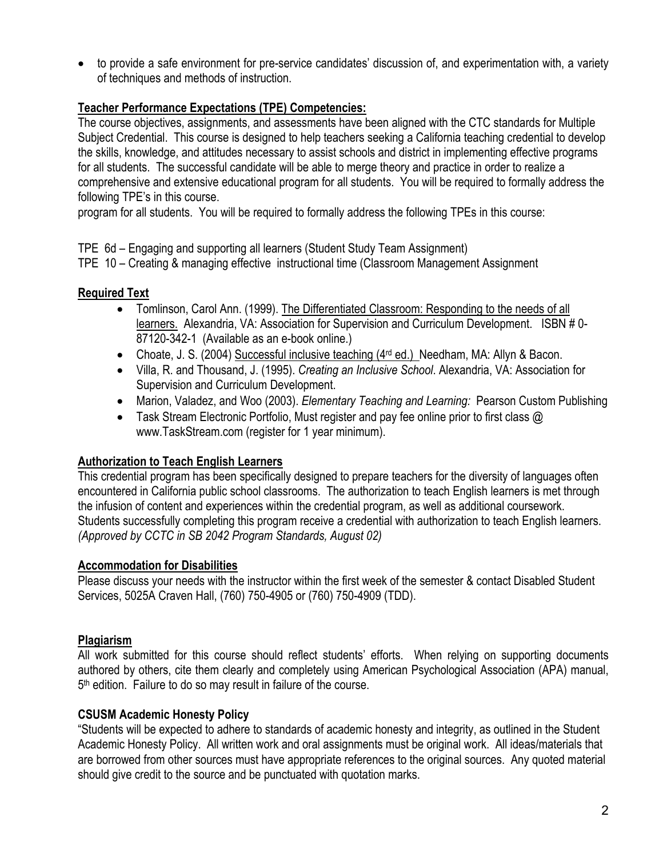• to provide a safe environment for pre-service candidates' discussion of, and experimentation with, a variety of techniques and methods of instruction.

# **Teacher Performance Expectations (TPE) Competencies:**

The course objectives, assignments, and assessments have been aligned with the CTC standards for Multiple Subject Credential. This course is designed to help teachers seeking a California teaching credential to develop the skills, knowledge, and attitudes necessary to assist schools and district in implementing effective programs for all students. The successful candidate will be able to merge theory and practice in order to realize a comprehensive and extensive educational program for all students. You will be required to formally address the following TPE's in this course.

program for all students. You will be required to formally address the following TPEs in this course:

TPE 6d – Engaging and supporting all learners (Student Study Team Assignment)

TPE 10 – Creating & managing effective instructional time (Classroom Management Assignment

# **Required Text**

- Tomlinson, Carol Ann. (1999). The Differentiated Classroom: Responding to the needs of all learners. Alexandria, VA: Association for Supervision and Curriculum Development. ISBN # 0- 87120-342-1 (Available as an e-book online.)
- Choate, J. S. (2004) Successful inclusive teaching (4rd ed.) Needham, MA: Allyn & Bacon.
- Villa, R. and Thousand, J. (1995). *Creating an Inclusive School*. Alexandria, VA: Association for Supervision and Curriculum Development.
- Marion, Valadez, and Woo (2003). *Elementary Teaching and Learning:* Pearson Custom Publishing
- Task Stream Electronic Portfolio, Must register and pay fee online prior to first class @ www.TaskStream.com (register for 1 year minimum).

# **Authorization to Teach English Learners**

This credential program has been specifically designed to prepare teachers for the diversity of languages often encountered in California public school classrooms. The authorization to teach English learners is met through the infusion of content and experiences within the credential program, as well as additional coursework. Students successfully completing this program receive a credential with authorization to teach English learners. *(Approved by CCTC in SB 2042 Program Standards, August 02)*

# **Accommodation for Disabilities**

Please discuss your needs with the instructor within the first week of the semester & contact Disabled Student Services, 5025A Craven Hall, (760) 750-4905 or (760) 750-4909 (TDD).

# **Plagiarism**

All work submitted for this course should reflect students' efforts. When relying on supporting documents authored by others, cite them clearly and completely using American Psychological Association (APA) manual, 5th edition. Failure to do so may result in failure of the course.

# **CSUSM Academic Honesty Policy**

"Students will be expected to adhere to standards of academic honesty and integrity, as outlined in the Student Academic Honesty Policy. All written work and oral assignments must be original work. All ideas/materials that are borrowed from other sources must have appropriate references to the original sources. Any quoted material should give credit to the source and be punctuated with quotation marks.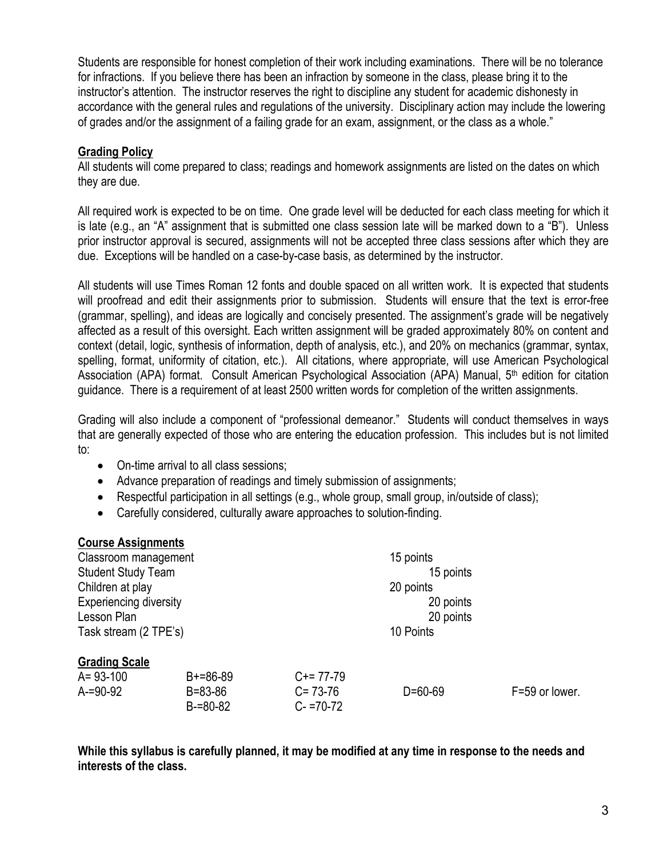Students are responsible for honest completion of their work including examinations. There will be no tolerance for infractions. If you believe there has been an infraction by someone in the class, please bring it to the instructor's attention. The instructor reserves the right to discipline any student for academic dishonesty in accordance with the general rules and regulations of the university. Disciplinary action may include the lowering of grades and/or the assignment of a failing grade for an exam, assignment, or the class as a whole."

# **Grading Policy**

All students will come prepared to class; readings and homework assignments are listed on the dates on which they are due.

All required work is expected to be on time. One grade level will be deducted for each class meeting for which it is late (e.g., an "A" assignment that is submitted one class session late will be marked down to a "B"). Unless prior instructor approval is secured, assignments will not be accepted three class sessions after which they are due. Exceptions will be handled on a case-by-case basis, as determined by the instructor.

All students will use Times Roman 12 fonts and double spaced on all written work. It is expected that students will proofread and edit their assignments prior to submission. Students will ensure that the text is error-free (grammar, spelling), and ideas are logically and concisely presented. The assignment's grade will be negatively affected as a result of this oversight. Each written assignment will be graded approximately 80% on content and context (detail, logic, synthesis of information, depth of analysis, etc.), and 20% on mechanics (grammar, syntax, spelling, format, uniformity of citation, etc.). All citations, where appropriate, will use American Psychological Association (APA) format. Consult American Psychological Association (APA) Manual, 5<sup>th</sup> edition for citation guidance. There is a requirement of at least 2500 written words for completion of the written assignments.

Grading will also include a component of "professional demeanor." Students will conduct themselves in ways that are generally expected of those who are entering the education profession. This includes but is not limited to:

- On-time arrival to all class sessions;
- Advance preparation of readings and timely submission of assignments;
- Respectful participation in all settings (e.g., whole group, small group, in/outside of class);
- Carefully considered, culturally aware approaches to solution-finding.

#### **Course Assignments**

| Classroom management          |               |               | 15 points     |                |  |
|-------------------------------|---------------|---------------|---------------|----------------|--|
| <b>Student Study Team</b>     |               |               | 15 points     |                |  |
| Children at play              |               |               | 20 points     |                |  |
| <b>Experiencing diversity</b> |               |               | 20 points     |                |  |
| Lesson Plan                   |               |               | 20 points     |                |  |
| Task stream (2 TPE's)         |               | 10 Points     |               |                |  |
| <b>Grading Scale</b>          |               |               |               |                |  |
| $A = 93 - 100$                | $B+=86-89$    | $C+= 77-79$   |               |                |  |
| $A = 90 - 92$                 | $B = 83 - 86$ | $C = 73-76$   | $D = 60 - 69$ | F=59 or lower. |  |
|                               | $B = 80 - 82$ | $C - 70 - 72$ |               |                |  |

**While this syllabus is carefully planned, it may be modified at any time in response to the needs and interests of the class.**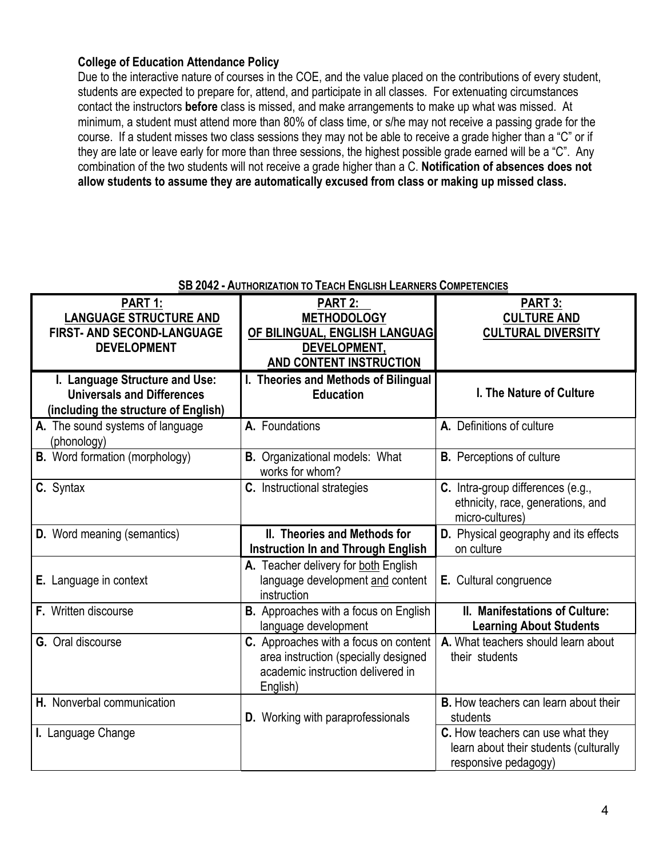# **College of Education Attendance Policy**

Due to the interactive nature of courses in the COE, and the value placed on the contributions of every student, students are expected to prepare for, attend, and participate in all classes. For extenuating circumstances contact the instructors **before** class is missed, and make arrangements to make up what was missed. At minimum, a student must attend more than 80% of class time, or s/he may not receive a passing grade for the course. If a student misses two class sessions they may not be able to receive a grade higher than a "C" or if they are late or leave early for more than three sessions, the highest possible grade earned will be a "C". Any combination of the two students will not receive a grade higher than a C. **Notification of absences does not allow students to assume they are automatically excused from class or making up missed class.** 

| PART 1:<br><b>LANGUAGE STRUCTURE AND</b><br>FIRST- AND SECOND-LANGUAGE<br><b>DEVELOPMENT</b>                | PART 2:<br><b>METHODOLOGY</b><br>OF BILINGUAL, ENGLISH LANGUAG<br>DEVELOPMENT,<br><b>AND CONTENT INSTRUCTION</b>               | PART 3:<br><b>CULTURE AND</b><br><b>CULTURAL DIVERSITY</b>                                          |
|-------------------------------------------------------------------------------------------------------------|--------------------------------------------------------------------------------------------------------------------------------|-----------------------------------------------------------------------------------------------------|
| I. Language Structure and Use:<br><b>Universals and Differences</b><br>(including the structure of English) | I. Theories and Methods of Bilingual<br><b>Education</b>                                                                       | I. The Nature of Culture                                                                            |
| A. The sound systems of language<br>(phonology)                                                             | A. Foundations                                                                                                                 | A. Definitions of culture                                                                           |
| <b>B.</b> Word formation (morphology)                                                                       | <b>B.</b> Organizational models: What<br>works for whom?                                                                       | <b>B.</b> Perceptions of culture                                                                    |
| C. Syntax                                                                                                   | C. Instructional strategies                                                                                                    | C. Intra-group differences (e.g.,<br>ethnicity, race, generations, and<br>micro-cultures)           |
| <b>D.</b> Word meaning (semantics)                                                                          | II. Theories and Methods for<br><b>Instruction In and Through English</b>                                                      | D. Physical geography and its effects<br>on culture                                                 |
| E. Language in context                                                                                      | A. Teacher delivery for both English<br>language development and content<br>instruction                                        | E. Cultural congruence                                                                              |
| <b>F.</b> Written discourse                                                                                 | <b>B.</b> Approaches with a focus on English<br>language development                                                           | II. Manifestations of Culture:<br><b>Learning About Students</b>                                    |
| <b>G.</b> Oral discourse                                                                                    | C. Approaches with a focus on content<br>area instruction (specially designed<br>academic instruction delivered in<br>English) | A. What teachers should learn about<br>their students                                               |
| H. Nonverbal communication                                                                                  | <b>D.</b> Working with paraprofessionals                                                                                       | <b>B.</b> How teachers can learn about their<br>students                                            |
| I. Language Change                                                                                          |                                                                                                                                | C. How teachers can use what they<br>learn about their students (culturally<br>responsive pedagogy) |

#### **SB 2042 - AUTHORIZATION TO TEACH ENGLISH LEARNERS COMPETENCIES**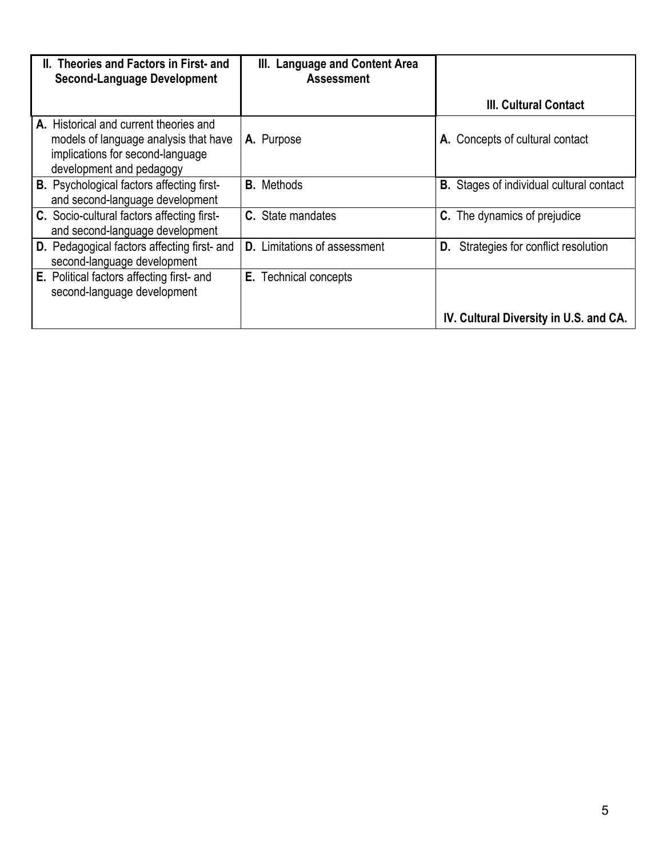| II. Theories and Factors in First- and<br><b>Second-Language Development</b>                                                                    | III. Language and Content Area<br><b>Assessment</b> |                                             |
|-------------------------------------------------------------------------------------------------------------------------------------------------|-----------------------------------------------------|---------------------------------------------|
|                                                                                                                                                 |                                                     | <b>III. Cultural Contact</b>                |
| A. Historical and current theories and<br>models of language analysis that have<br>implications for second-language<br>development and pedagogy | A. Purpose                                          | A. Concepts of cultural contact             |
| <b>B.</b> Psychological factors affecting first-<br>and second-language development                                                             | <b>B.</b> Methods                                   | Stages of individual cultural contact<br>В. |
| C. Socio-cultural factors affecting first-<br>and second-language development                                                                   | C. State mandates                                   | The dynamics of prejudice<br>C.             |
| D. Pedagogical factors affecting first- and<br>second-language development                                                                      | <b>D.</b> Limitations of assessment                 | Strategies for conflict resolution<br>D.    |
| E. Political factors affecting first- and<br>second-language development                                                                        | <b>E.</b> Technical concepts                        |                                             |
|                                                                                                                                                 |                                                     | IV. Cultural Diversity in U.S. and CA.      |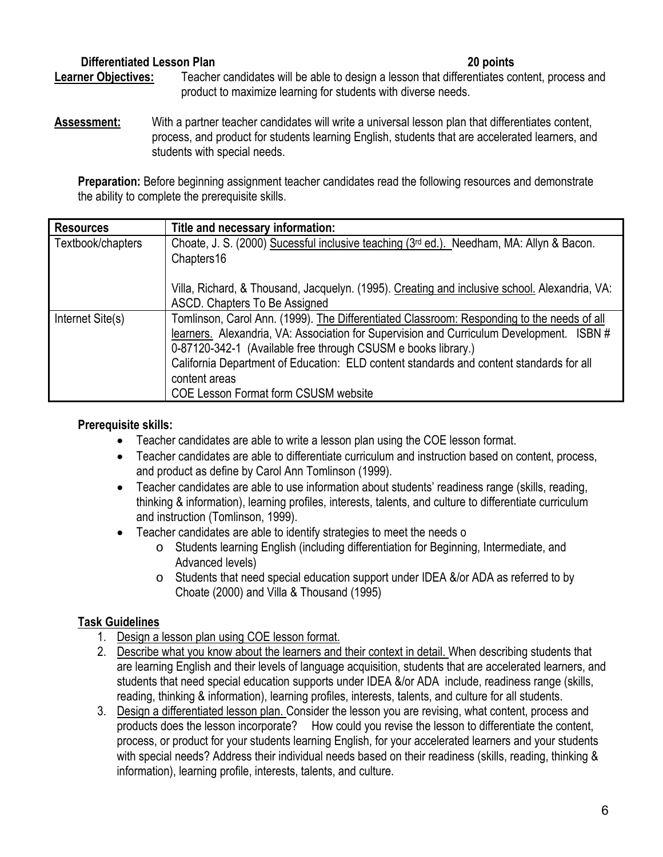# **Differentiated Lesson Plan 20 points**

# **Learner Objectives:** Teacher candidates will be able to design a lesson that differentiates content, process and product to maximize learning for students with diverse needs.

**Assessment:** With a partner teacher candidates will write a universal lesson plan that differentiates content, process, and product for students learning English, students that are accelerated learners, and students with special needs.

**Preparation:** Before beginning assignment teacher candidates read the following resources and demonstrate the ability to complete the prerequisite skills.

| <b>Resources</b>  | Title and necessary information:                                                              |
|-------------------|-----------------------------------------------------------------------------------------------|
| Textbook/chapters | Choate, J. S. (2000) Sucessful inclusive teaching (3rd ed.). Needham, MA: Allyn & Bacon.      |
|                   | Chapters16                                                                                    |
|                   | Villa, Richard, & Thousand, Jacquelyn. (1995). Creating and inclusive school. Alexandria, VA: |
|                   | ASCD. Chapters To Be Assigned                                                                 |
| Internet Site(s)  | Tomlinson, Carol Ann. (1999). The Differentiated Classroom: Responding to the needs of all    |
|                   | learners. Alexandria, VA: Association for Supervision and Curriculum Development. ISBN #      |
|                   | 0-87120-342-1 (Available free through CSUSM e books library.)                                 |
|                   | California Department of Education: ELD content standards and content standards for all       |
|                   | content areas                                                                                 |
|                   | <b>COE Lesson Format form CSUSM website</b>                                                   |

# **Prerequisite skills:**

- Teacher candidates are able to write a lesson plan using the COE lesson format.
- Teacher candidates are able to differentiate curriculum and instruction based on content, process, and product as define by Carol Ann Tomlinson (1999).
- Teacher candidates are able to use information about students' readiness range (skills, reading, thinking & information), learning profiles, interests, talents, and culture to differentiate curriculum and instruction (Tomlinson, 1999).
- Teacher candidates are able to identify strategies to meet the needs o
	- o Students learning English (including differentiation for Beginning, Intermediate, and Advanced levels)
	- o Students that need special education support under IDEA &/or ADA as referred to by Choate (2000) and Villa & Thousand (1995)

# **Task Guidelines**

- 1. Design a lesson plan using COE lesson format.
- 2. Describe what you know about the learners and their context in detail. When describing students that are learning English and their levels of language acquisition, students that are accelerated learners, and students that need special education supports under IDEA &/or ADA include, readiness range (skills, reading, thinking & information), learning profiles, interests, talents, and culture for all students.
- 3. Design a differentiated lesson plan. Consider the lesson you are revising, what content, process and products does the lesson incorporate? How could you revise the lesson to differentiate the content, process, or product for your students learning English, for your accelerated learners and your students with special needs? Address their individual needs based on their readiness (skills, reading, thinking & information), learning profile, interests, talents, and culture.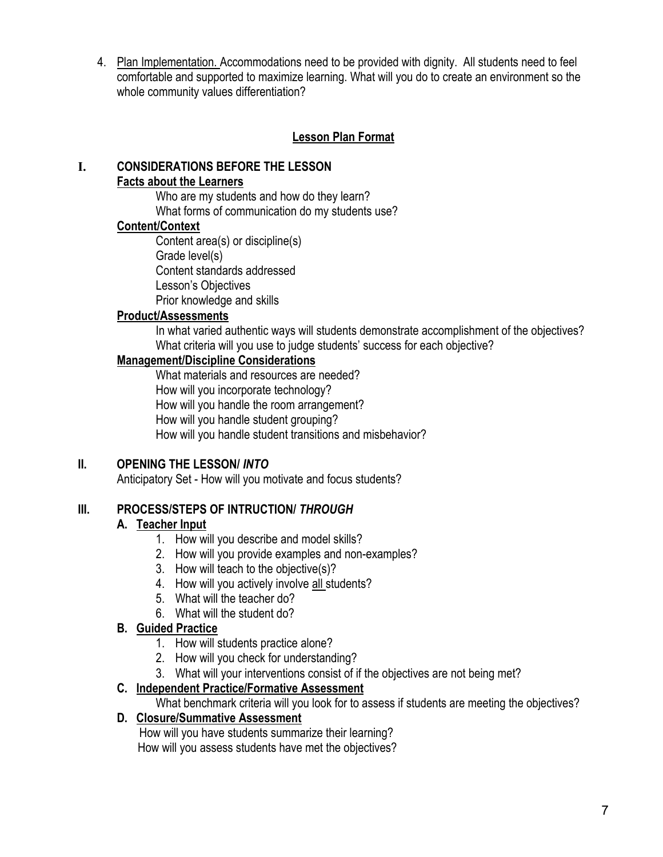4. Plan Implementation. Accommodations need to be provided with dignity. All students need to feel comfortable and supported to maximize learning. What will you do to create an environment so the whole community values differentiation?

# **Lesson Plan Format**

# **I. CONSIDERATIONS BEFORE THE LESSON Facts about the Learners**

Who are my students and how do they learn?

What forms of communication do my students use?

# **Content/Context**

Content area(s) or discipline(s) Grade level(s) Content standards addressed Lesson's Objectives Prior knowledge and skills

# **Product/Assessments**

In what varied authentic ways will students demonstrate accomplishment of the objectives? What criteria will you use to judge students' success for each objective?

# **Management/Discipline Considerations**

What materials and resources are needed? How will you incorporate technology? How will you handle the room arrangement? How will you handle student grouping? How will you handle student transitions and misbehavior?

# **II. OPENING THE LESSON/** *INTO*

Anticipatory Set - How will you motivate and focus students?

# **III. PROCESS/STEPS OF INTRUCTION/** *THROUGH*

# **A. Teacher Input**

- 1. How will you describe and model skills?
- 2. How will you provide examples and non-examples?
- 3. How will teach to the objective(s)?
- 4. How will you actively involve all students?
- 5. What will the teacher do?
- 6. What will the student do?

# **B. Guided Practice**

- 1. How will students practice alone?
- 2. How will you check for understanding?
- 3. What will your interventions consist of if the objectives are not being met?

# **C. Independent Practice/Formative Assessment**

What benchmark criteria will you look for to assess if students are meeting the objectives?

# **D. Closure/Summative Assessment**

 How will you have students summarize their learning? How will you assess students have met the objectives?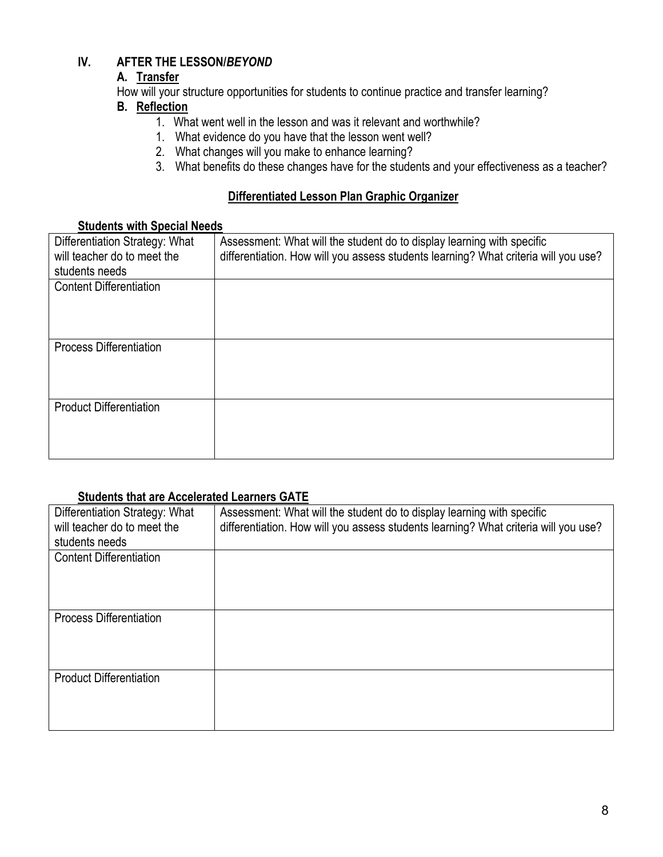# **IV. AFTER THE LESSON/***BEYOND*

# **A. Transfer**

How will your structure opportunities for students to continue practice and transfer learning?

# **B. Reflection**

- 1. What went well in the lesson and was it relevant and worthwhile?
- 1. What evidence do you have that the lesson went well?
- 2. What changes will you make to enhance learning?
- 3. What benefits do these changes have for the students and your effectiveness as a teacher?

# **Differentiated Lesson Plan Graphic Organizer**

# **Students with Special Needs**

| Differentiation Strategy: What | Assessment: What will the student do to display learning with specific              |
|--------------------------------|-------------------------------------------------------------------------------------|
| will teacher do to meet the    | differentiation. How will you assess students learning? What criteria will you use? |
| students needs                 |                                                                                     |
| <b>Content Differentiation</b> |                                                                                     |
|                                |                                                                                     |
|                                |                                                                                     |
|                                |                                                                                     |
| <b>Process Differentiation</b> |                                                                                     |
|                                |                                                                                     |
|                                |                                                                                     |
|                                |                                                                                     |
| <b>Product Differentiation</b> |                                                                                     |
|                                |                                                                                     |
|                                |                                                                                     |
|                                |                                                                                     |

# **Students that are Accelerated Learners GATE**

| Differentiation Strategy: What<br>will teacher do to meet the | Assessment: What will the student do to display learning with specific<br>differentiation. How will you assess students learning? What criteria will you use? |
|---------------------------------------------------------------|---------------------------------------------------------------------------------------------------------------------------------------------------------------|
| students needs                                                |                                                                                                                                                               |
| <b>Content Differentiation</b>                                |                                                                                                                                                               |
| <b>Process Differentiation</b>                                |                                                                                                                                                               |
| <b>Product Differentiation</b>                                |                                                                                                                                                               |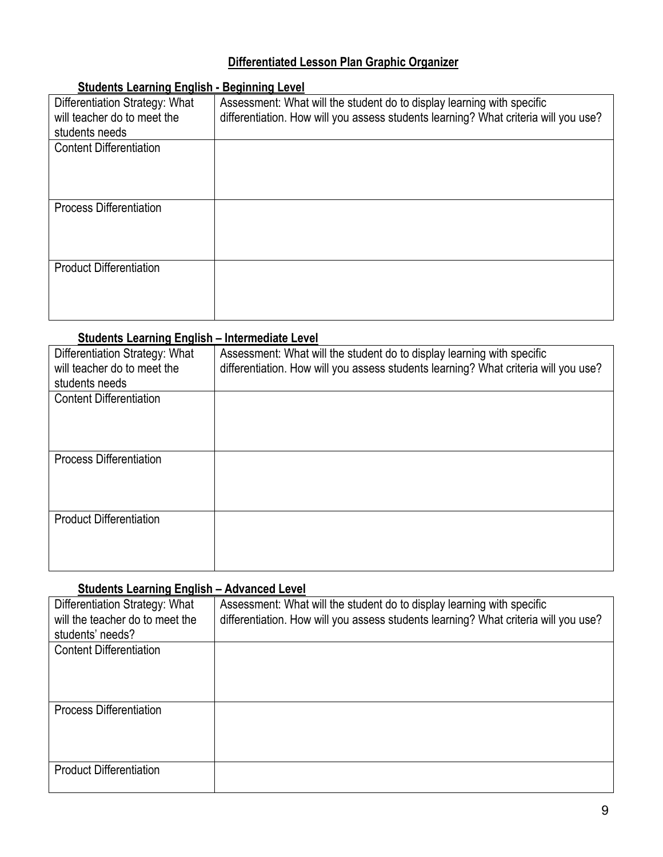# **Differentiated Lesson Plan Graphic Organizer**

| <u> Attitudino Lotinining Lingmond</u> |                                                                                     |
|----------------------------------------|-------------------------------------------------------------------------------------|
| Differentiation Strategy: What         | Assessment: What will the student do to display learning with specific              |
| will teacher do to meet the            | differentiation. How will you assess students learning? What criteria will you use? |
| students needs                         |                                                                                     |
| <b>Content Differentiation</b>         |                                                                                     |
|                                        |                                                                                     |
|                                        |                                                                                     |
|                                        |                                                                                     |
| <b>Process Differentiation</b>         |                                                                                     |
|                                        |                                                                                     |
|                                        |                                                                                     |
|                                        |                                                                                     |
| <b>Product Differentiation</b>         |                                                                                     |
|                                        |                                                                                     |
|                                        |                                                                                     |
|                                        |                                                                                     |
|                                        |                                                                                     |

# **Students Learning English - Beginning Level**

# **Students Learning English – Intermediate Level**

| Differentiation Strategy: What<br>will teacher do to meet the | Assessment: What will the student do to display learning with specific<br>differentiation. How will you assess students learning? What criteria will you use? |
|---------------------------------------------------------------|---------------------------------------------------------------------------------------------------------------------------------------------------------------|
| students needs                                                |                                                                                                                                                               |
| <b>Content Differentiation</b>                                |                                                                                                                                                               |
| <b>Process Differentiation</b>                                |                                                                                                                                                               |
| <b>Product Differentiation</b>                                |                                                                                                                                                               |

# **Students Learning English – Advanced Level**

| Differentiation Strategy: What<br>will the teacher do to meet the<br>students' needs? | Assessment: What will the student do to display learning with specific<br>differentiation. How will you assess students learning? What criteria will you use? |
|---------------------------------------------------------------------------------------|---------------------------------------------------------------------------------------------------------------------------------------------------------------|
| <b>Content Differentiation</b>                                                        |                                                                                                                                                               |
| <b>Process Differentiation</b>                                                        |                                                                                                                                                               |
| <b>Product Differentiation</b>                                                        |                                                                                                                                                               |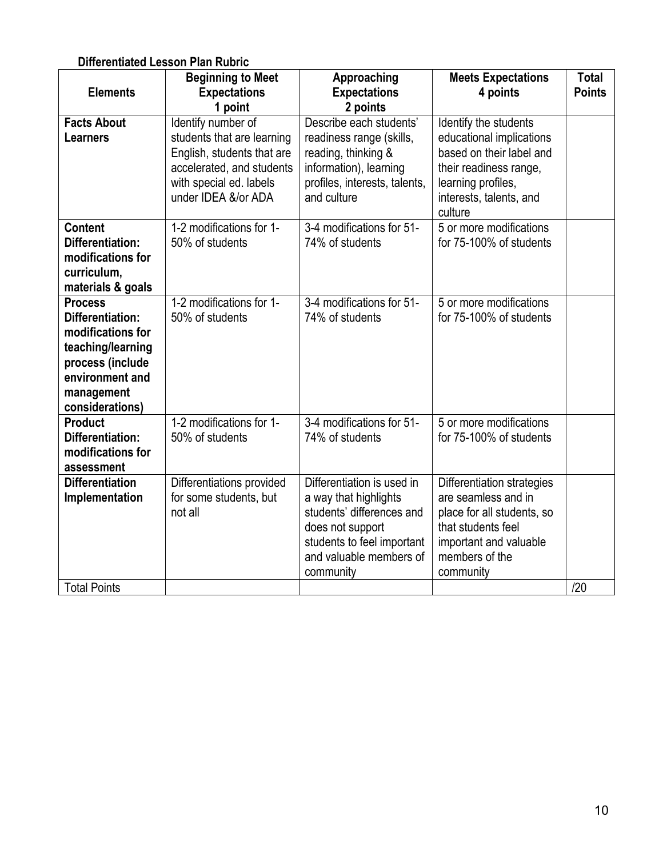# **Differentiated Lesson Plan Rubric**

|                                   | <b>Beginning to Meet</b>                                 | Approaching                                           | <b>Meets Expectations</b>                            | <b>Total</b>  |
|-----------------------------------|----------------------------------------------------------|-------------------------------------------------------|------------------------------------------------------|---------------|
| <b>Elements</b>                   | <b>Expectations</b>                                      | <b>Expectations</b>                                   | 4 points                                             | <b>Points</b> |
|                                   | 1 point                                                  | 2 points                                              |                                                      |               |
| <b>Facts About</b>                | Identify number of                                       | Describe each students'                               | Identify the students                                |               |
| <b>Learners</b>                   | students that are learning<br>English, students that are | readiness range (skills,<br>reading, thinking &       | educational implications<br>based on their label and |               |
|                                   | accelerated, and students                                | information), learning                                | their readiness range,                               |               |
|                                   | with special ed. labels                                  | profiles, interests, talents,                         | learning profiles,                                   |               |
|                                   | under IDEA &/or ADA                                      | and culture                                           | interests, talents, and                              |               |
|                                   |                                                          |                                                       | culture                                              |               |
| <b>Content</b>                    | 1-2 modifications for 1-                                 | 3-4 modifications for 51-                             | 5 or more modifications                              |               |
| <b>Differentiation:</b>           | 50% of students                                          | 74% of students                                       | for 75-100% of students                              |               |
| modifications for<br>curriculum,  |                                                          |                                                       |                                                      |               |
| materials & goals                 |                                                          |                                                       |                                                      |               |
| <b>Process</b>                    | 1-2 modifications for 1-                                 | 3-4 modifications for 51-                             | 5 or more modifications                              |               |
| <b>Differentiation:</b>           | 50% of students                                          | 74% of students                                       | for 75-100% of students                              |               |
| modifications for                 |                                                          |                                                       |                                                      |               |
| teaching/learning                 |                                                          |                                                       |                                                      |               |
| process (include                  |                                                          |                                                       |                                                      |               |
| environment and                   |                                                          |                                                       |                                                      |               |
| management                        |                                                          |                                                       |                                                      |               |
| considerations)<br><b>Product</b> | 1-2 modifications for 1-                                 | 3-4 modifications for 51-                             | 5 or more modifications                              |               |
| <b>Differentiation:</b>           | 50% of students                                          | 74% of students                                       | for 75-100% of students                              |               |
| modifications for                 |                                                          |                                                       |                                                      |               |
| assessment                        |                                                          |                                                       |                                                      |               |
| <b>Differentiation</b>            | Differentiations provided                                | Differentiation is used in                            | Differentiation strategies                           |               |
| Implementation                    | for some students, but                                   | a way that highlights                                 | are seamless and in                                  |               |
|                                   | not all                                                  | students' differences and                             | place for all students, so                           |               |
|                                   |                                                          | does not support                                      | that students feel                                   |               |
|                                   |                                                          | students to feel important<br>and valuable members of | important and valuable<br>members of the             |               |
|                                   |                                                          | community                                             | community                                            |               |
| <b>Total Points</b>               |                                                          |                                                       |                                                      | /20           |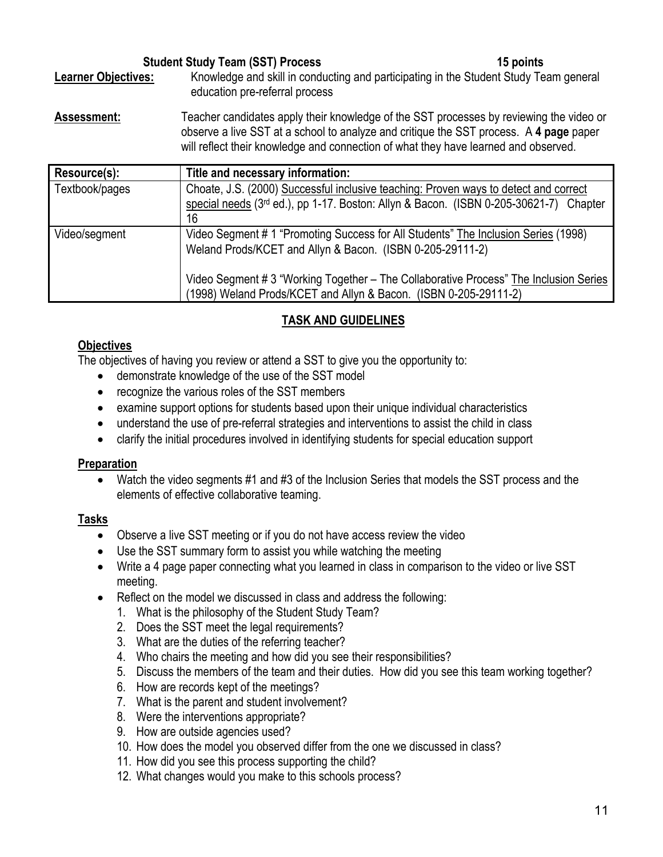| <b>Student Study Team (SST) Process</b> |                                                                                                                         | 15 points |
|-----------------------------------------|-------------------------------------------------------------------------------------------------------------------------|-----------|
| <b>Learner Objectives:</b>              | Knowledge and skill in conducting and participating in the Student Study Team general<br>education pre-referral process |           |
| Assessment:                             | Teacher candidates apply their knowledge of the SST processes by reviewing the video or                                 |           |

observe a live SST at a school to analyze and critique the SST process. A **4 page** paper will reflect their knowledge and connection of what they have learned and observed.

| Resource(s):   | Title and necessary information:                                                                                                                                                    |
|----------------|-------------------------------------------------------------------------------------------------------------------------------------------------------------------------------------|
| Textbook/pages | Choate, J.S. (2000) Successful inclusive teaching: Proven ways to detect and correct<br>special needs (3rd ed.), pp 1-17. Boston: Allyn & Bacon. (ISBN 0-205-30621-7) Chapter<br>16 |
| Video/segment  | Video Segment # 1 "Promoting Success for All Students" The Inclusion Series (1998)<br>Weland Prods/KCET and Allyn & Bacon. (ISBN 0-205-29111-2)                                     |
|                | Video Segment # 3 "Working Together – The Collaborative Process" The Inclusion Series<br>(1998) Weland Prods/KCET and Allyn & Bacon. (ISBN 0-205-29111-2)                           |

# **TASK AND GUIDELINES**

# **Objectives**

The objectives of having you review or attend a SST to give you the opportunity to:

- demonstrate knowledge of the use of the SST model
- recognize the various roles of the SST members
- examine support options for students based upon their unique individual characteristics
- understand the use of pre-referral strategies and interventions to assist the child in class
- clarify the initial procedures involved in identifying students for special education support

# **Preparation**

• Watch the video segments #1 and #3 of the Inclusion Series that models the SST process and the elements of effective collaborative teaming.

# **Tasks**

- Observe a live SST meeting or if you do not have access review the video
- Use the SST summary form to assist you while watching the meeting
- Write a 4 page paper connecting what you learned in class in comparison to the video or live SST meeting.
- Reflect on the model we discussed in class and address the following:
	- 1. What is the philosophy of the Student Study Team?
	- 2. Does the SST meet the legal requirements?
	- 3. What are the duties of the referring teacher?
	- 4. Who chairs the meeting and how did you see their responsibilities?
	- 5. Discuss the members of the team and their duties. How did you see this team working together?
	- 6. How are records kept of the meetings?
	- 7. What is the parent and student involvement?
	- 8. Were the interventions appropriate?
	- 9. How are outside agencies used?
	- 10. How does the model you observed differ from the one we discussed in class?
	- 11. How did you see this process supporting the child?
	- 12. What changes would you make to this schools process?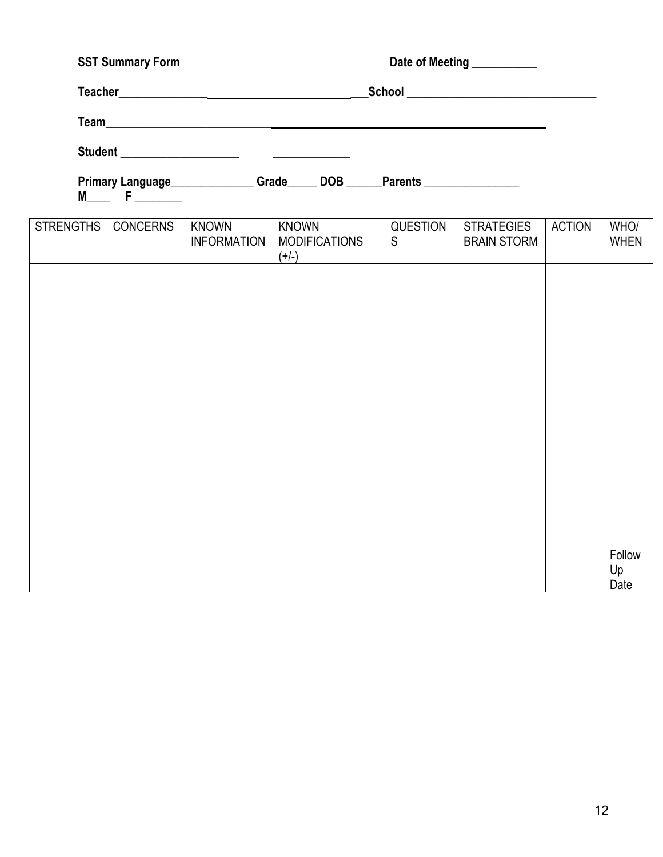# SST Summary Form **Date of Meeting Lines and Date of Meeting Lines 2018 Teacher\_\_\_\_\_\_\_\_\_\_\_\_\_\_\_ \_\_\_School \_\_\_\_\_\_\_\_\_\_\_\_\_\_\_\_\_\_\_\_\_\_\_\_\_\_\_\_\_\_\_\_ Team\_\_\_\_\_\_\_\_\_\_\_\_\_\_\_\_\_\_\_\_\_\_\_\_\_\_\_\_ \_\_\_\_\_\_\_\_\_\_\_\_\_\_\_\_\_\_\_\_\_\_\_\_\_\_\_\_\_\_\_\_\_\_\_ Student \_\_\_\_\_\_\_\_\_\_\_\_\_\_\_\_\_\_\_\_ \_\_\_\_\_\_\_\_\_\_\_\_\_**

Primary Language\_\_\_\_\_\_\_\_\_\_\_\_\_\_\_Grade\_\_\_\_\_ DOB \_\_\_\_\_Parents \_\_\_\_\_\_\_\_\_\_\_\_\_\_\_\_\_\_\_\_\_

**M\_\_\_\_ F** \_\_\_\_\_\_\_\_

| <b>STRENGTHS</b> | <b>CONCERNS</b> | <b>KNOWN</b><br><b>INFORMATION</b> | <b>KNOWN</b><br><b>MODIFICATIONS</b><br>$(+/-)$ | QUESTION<br>$\mathsf S$ | <b>STRATEGIES</b><br><b>BRAIN STORM</b> | <b>ACTION</b> | WHO/<br><b>WHEN</b>  |
|------------------|-----------------|------------------------------------|-------------------------------------------------|-------------------------|-----------------------------------------|---------------|----------------------|
|                  |                 |                                    |                                                 |                         |                                         |               |                      |
|                  |                 |                                    |                                                 |                         |                                         |               |                      |
|                  |                 |                                    |                                                 |                         |                                         |               |                      |
|                  |                 |                                    |                                                 |                         |                                         |               |                      |
|                  |                 |                                    |                                                 |                         |                                         |               |                      |
|                  |                 |                                    |                                                 |                         |                                         |               |                      |
|                  |                 |                                    |                                                 |                         |                                         |               |                      |
|                  |                 |                                    |                                                 |                         |                                         |               | Follow<br>Up<br>Date |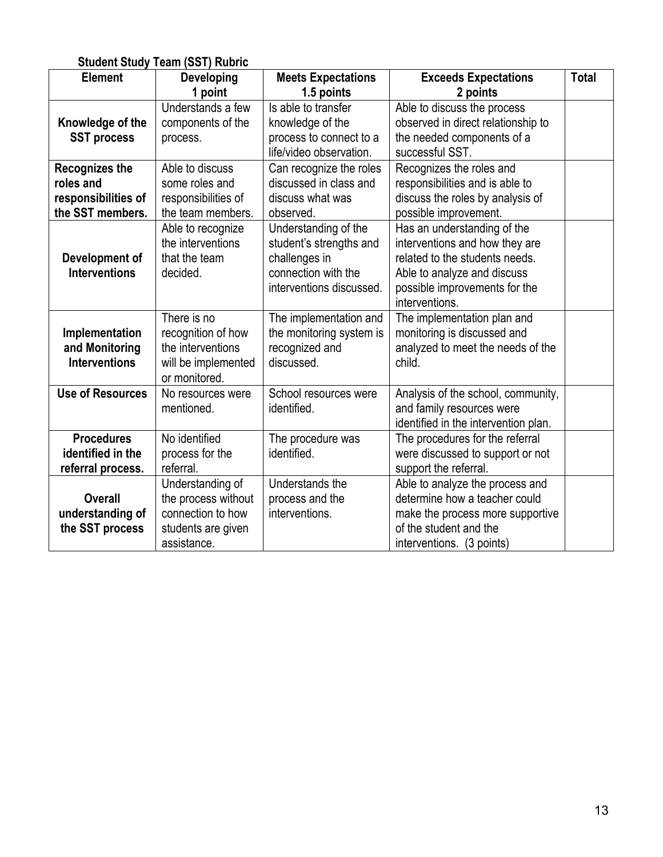|                         | <b>Student Study Team (SST) Rubric</b> |                           |                                      |              |
|-------------------------|----------------------------------------|---------------------------|--------------------------------------|--------------|
| <b>Element</b>          | <b>Developing</b>                      | <b>Meets Expectations</b> | <b>Exceeds Expectations</b>          | <b>Total</b> |
|                         | 1 point                                | 1.5 points                | 2 points                             |              |
|                         | Understands a few                      | Is able to transfer       | Able to discuss the process          |              |
| Knowledge of the        | components of the                      | knowledge of the          | observed in direct relationship to   |              |
| <b>SST process</b>      | process.                               | process to connect to a   | the needed components of a           |              |
|                         |                                        | life/video observation.   | successful SST.                      |              |
| <b>Recognizes the</b>   | Able to discuss                        | Can recognize the roles   | Recognizes the roles and             |              |
| roles and               | some roles and                         | discussed in class and    | responsibilities and is able to      |              |
| responsibilities of     | responsibilities of                    | discuss what was          | discuss the roles by analysis of     |              |
| the SST members.        | the team members.                      | observed.                 | possible improvement.                |              |
|                         | Able to recognize                      | Understanding of the      | Has an understanding of the          |              |
|                         | the interventions                      | student's strengths and   | interventions and how they are       |              |
| Development of          | that the team                          | challenges in             | related to the students needs.       |              |
| <b>Interventions</b>    | decided.                               | connection with the       | Able to analyze and discuss          |              |
|                         |                                        | interventions discussed.  | possible improvements for the        |              |
|                         |                                        |                           | interventions.                       |              |
|                         | There is no                            | The implementation and    | The implementation plan and          |              |
| Implementation          | recognition of how                     | the monitoring system is  | monitoring is discussed and          |              |
| and Monitoring          | the interventions                      | recognized and            | analyzed to meet the needs of the    |              |
| <b>Interventions</b>    | will be implemented                    | discussed.                | child.                               |              |
|                         | or monitored.                          |                           |                                      |              |
| <b>Use of Resources</b> | No resources were                      | School resources were     | Analysis of the school, community,   |              |
|                         | mentioned.                             | identified.               | and family resources were            |              |
|                         |                                        |                           | identified in the intervention plan. |              |
| <b>Procedures</b>       | No identified                          | The procedure was         | The procedures for the referral      |              |
| identified in the       | process for the                        | identified.               | were discussed to support or not     |              |
| referral process.       | referral.                              |                           | support the referral.                |              |
|                         | Understanding of                       | Understands the           | Able to analyze the process and      |              |
| <b>Overall</b>          | the process without                    | process and the           | determine how a teacher could        |              |
| understanding of        | connection to how                      | interventions.            | make the process more supportive     |              |
| the SST process         | students are given                     |                           | of the student and the               |              |
|                         | assistance.                            |                           | interventions. (3 points)            |              |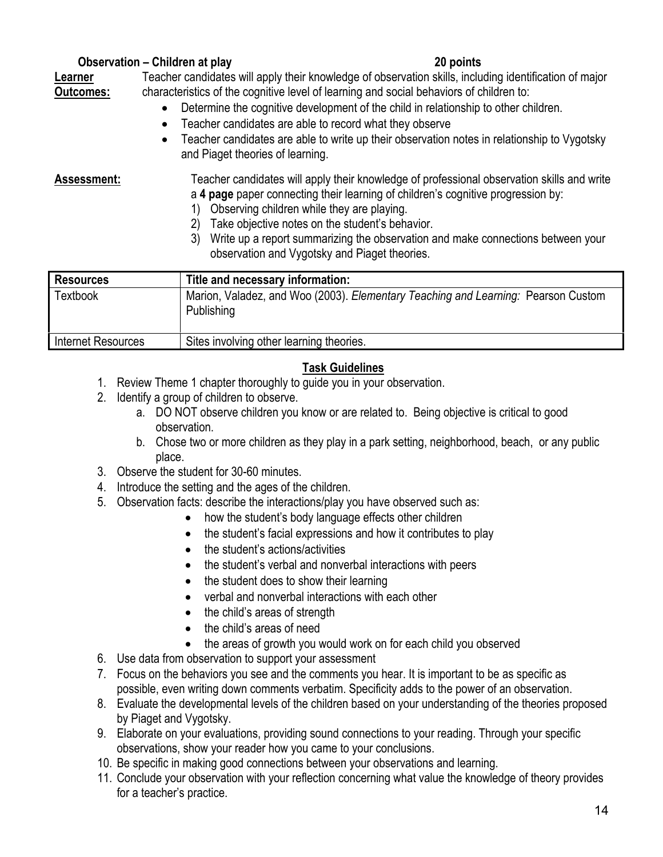# **Observation – Children at play 20 points**

**Learner Outcomes:** Teacher candidates will apply their knowledge of observation skills, including identification of major characteristics of the cognitive level of learning and social behaviors of children to:

- Determine the cognitive development of the child in relationship to other children.
- Teacher candidates are able to record what they observe
- Teacher candidates are able to write up their observation notes in relationship to Vygotsky and Piaget theories of learning.

- **Assessment:** Teacher candidates will apply their knowledge of professional observation skills and write a **4 page** paper connecting their learning of children's cognitive progression by:
	- 1) Observing children while they are playing.
	- 2) Take objective notes on the student's behavior.
	- 3) Write up a report summarizing the observation and make connections between your observation and Vygotsky and Piaget theories.

| <b>Resources</b>   | Title and necessary information:                                                                |
|--------------------|-------------------------------------------------------------------------------------------------|
| <b>Textbook</b>    | Marion, Valadez, and Woo (2003). Elementary Teaching and Learning: Pearson Custom<br>Publishing |
| Internet Resources | Sites involving other learning theories.                                                        |

# **Task Guidelines**

- 1. Review Theme 1 chapter thoroughly to guide you in your observation.
- 2. Identify a group of children to observe.
	- a. DO NOT observe children you know or are related to. Being objective is critical to good observation.
	- b. Chose two or more children as they play in a park setting, neighborhood, beach, or any public place.
- 3. Observe the student for 30-60 minutes.
- 4. Introduce the setting and the ages of the children.
- 5. Observation facts: describe the interactions/play you have observed such as:
	- how the student's body language effects other children
	- the student's facial expressions and how it contributes to play
	- the student's actions/activities
	- the student's verbal and nonverbal interactions with peers
	- the student does to show their learning
	- verbal and nonverbal interactions with each other
	- the child's areas of strength
	- the child's areas of need
	- the areas of growth you would work on for each child you observed
- 6. Use data from observation to support your assessment
- 7. Focus on the behaviors you see and the comments you hear. It is important to be as specific as possible, even writing down comments verbatim. Specificity adds to the power of an observation.
- 8. Evaluate the developmental levels of the children based on your understanding of the theories proposed by Piaget and Vygotsky.
- 9. Elaborate on your evaluations, providing sound connections to your reading. Through your specific observations, show your reader how you came to your conclusions.
- 10. Be specific in making good connections between your observations and learning.
- 11. Conclude your observation with your reflection concerning what value the knowledge of theory provides for a teacher's practice.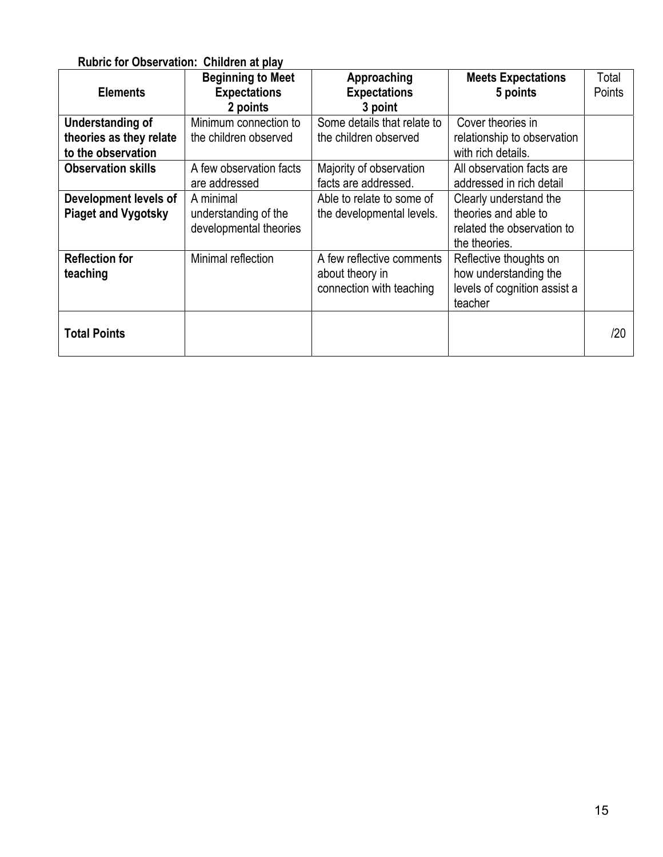# **Rubric for Observation: Children at play**

| <b>Elements</b>            | <b>Beginning to Meet</b><br><b>Expectations</b> | Approaching<br><b>Expectations</b> | <b>Meets Expectations</b><br>5 points | Total<br>Points |
|----------------------------|-------------------------------------------------|------------------------------------|---------------------------------------|-----------------|
|                            | 2 points                                        | 3 point                            |                                       |                 |
| Understanding of           | Minimum connection to                           | Some details that relate to        | Cover theories in                     |                 |
| theories as they relate    | the children observed                           | the children observed              | relationship to observation           |                 |
| to the observation         |                                                 |                                    | with rich details.                    |                 |
| <b>Observation skills</b>  | A few observation facts                         | Majority of observation            | All observation facts are             |                 |
|                            | are addressed                                   | facts are addressed.               | addressed in rich detail              |                 |
| Development levels of      | A minimal                                       | Able to relate to some of          | Clearly understand the                |                 |
| <b>Piaget and Vygotsky</b> | understanding of the                            | the developmental levels.          | theories and able to                  |                 |
|                            | developmental theories                          |                                    | related the observation to            |                 |
|                            |                                                 |                                    | the theories.                         |                 |
| <b>Reflection for</b>      | Minimal reflection                              | A few reflective comments          | Reflective thoughts on                |                 |
| teaching                   |                                                 | about theory in                    | how understanding the                 |                 |
|                            |                                                 | connection with teaching           | levels of cognition assist a          |                 |
|                            |                                                 |                                    | teacher                               |                 |
| <b>Total Points</b>        |                                                 |                                    |                                       | /20             |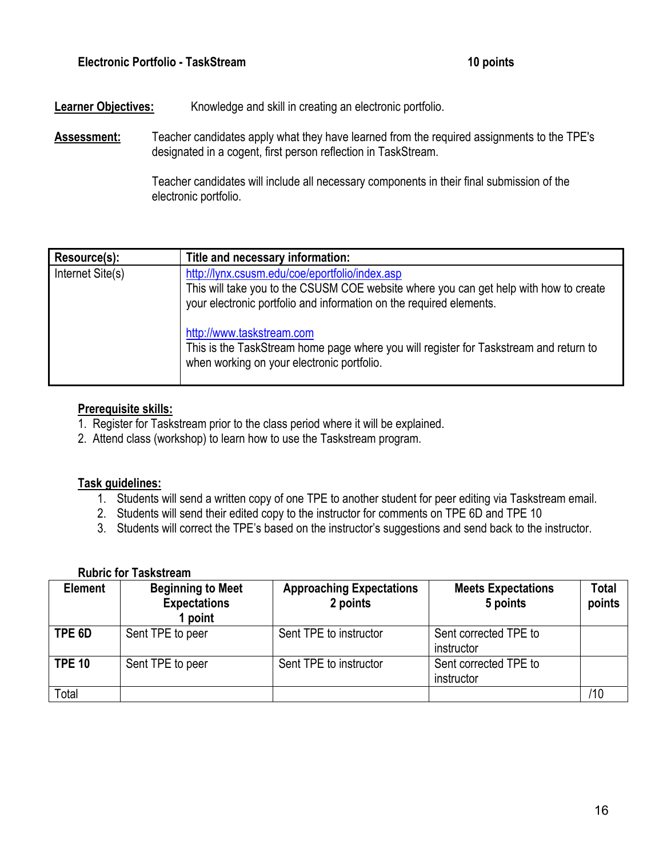# **Learner Objectives:** Knowledge and skill in creating an electronic portfolio.

**Assessment:** Teacher candidates apply what they have learned from the required assignments to the TPE's designated in a cogent, first person reflection in TaskStream.

> Teacher candidates will include all necessary components in their final submission of the electronic portfolio.

| Resource(s):     | Title and necessary information:                                                                                                                                                                                                            |
|------------------|---------------------------------------------------------------------------------------------------------------------------------------------------------------------------------------------------------------------------------------------|
| Internet Site(s) | http://lynx.csusm.edu/coe/eportfolio/index.asp<br>This will take you to the CSUSM COE website where you can get help with how to create<br>your electronic portfolio and information on the required elements.<br>http://www.taskstream.com |
|                  | This is the TaskStream home page where you will register for Taskstream and return to<br>when working on your electronic portfolio.                                                                                                         |

#### **Prerequisite skills:**

- 1. Register for Taskstream prior to the class period where it will be explained.
- 2. Attend class (workshop) to learn how to use the Taskstream program.

#### **Task guidelines:**

- 1. Students will send a written copy of one TPE to another student for peer editing via Taskstream email.
- 2. Students will send their edited copy to the instructor for comments on TPE 6D and TPE 10
- 3. Students will correct the TPE's based on the instructor's suggestions and send back to the instructor.

#### **Rubric for Taskstream**

| <b>Element</b> | <b>Beginning to Meet</b><br><b>Expectations</b><br>point | <b>Approaching Expectations</b><br>2 points | <b>Meets Expectations</b><br>5 points | Total<br>points |
|----------------|----------------------------------------------------------|---------------------------------------------|---------------------------------------|-----------------|
| TPE 6D         | Sent TPE to peer                                         | Sent TPE to instructor                      | Sent corrected TPE to<br>instructor   |                 |
| <b>TPE 10</b>  | Sent TPE to peer                                         | Sent TPE to instructor                      | Sent corrected TPE to<br>instructor   |                 |
| Total          |                                                          |                                             |                                       | /10             |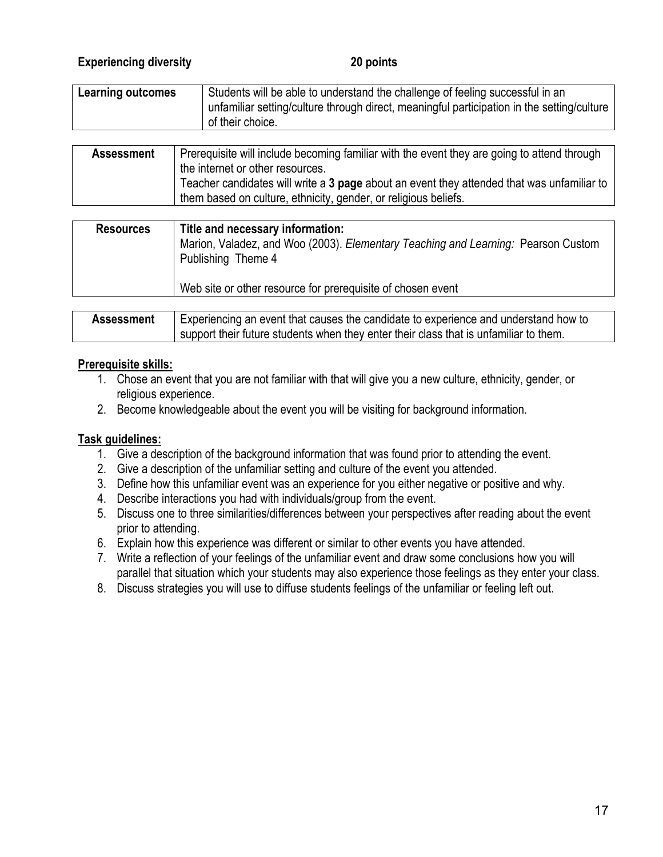# **Experiencing diversity 20 points**

| <b>Learning outcomes</b> | Students will be able to understand the challenge of feeling successful in an<br>unfamiliar setting/culture through direct, meaningful participation in the setting/culture<br>of their choice. |
|--------------------------|-------------------------------------------------------------------------------------------------------------------------------------------------------------------------------------------------|
|                          | The concertainty will be checked by a contract families with the concertable concertainty of the contract theorem                                                                               |

| <b>Assessment</b> | Prerequisite will include becoming familiar with the event they are going to attend through |
|-------------------|---------------------------------------------------------------------------------------------|
|                   | the internet or other resources.                                                            |
|                   | Teacher candidates will write a 3 page about an event they attended that was unfamiliar to  |
|                   | them based on culture, ethnicity, gender, or religious beliefs.                             |

| <b>Resources</b>  | Title and necessary information:<br>Marion, Valadez, and Woo (2003). Elementary Teaching and Learning: Pearson Custom<br>Publishing Theme 4<br>Web site or other resource for prerequisite of chosen event |
|-------------------|------------------------------------------------------------------------------------------------------------------------------------------------------------------------------------------------------------|
|                   |                                                                                                                                                                                                            |
| <b>Assessment</b> | Experiencing an event that causes the candidate to experience and understand how to                                                                                                                        |

support their future students when they enter their class that is unfamiliar to them.

#### **Prerequisite skills:**

- 1. Chose an event that you are not familiar with that will give you a new culture, ethnicity, gender, or religious experience.
- 2. Become knowledgeable about the event you will be visiting for background information.

# **Task guidelines:**

- 1. Give a description of the background information that was found prior to attending the event.
- 2. Give a description of the unfamiliar setting and culture of the event you attended.
- 3. Define how this unfamiliar event was an experience for you either negative or positive and why.
- 4. Describe interactions you had with individuals/group from the event.
- 5. Discuss one to three similarities/differences between your perspectives after reading about the event prior to attending.
- 6. Explain how this experience was different or similar to other events you have attended.
- 7. Write a reflection of your feelings of the unfamiliar event and draw some conclusions how you will parallel that situation which your students may also experience those feelings as they enter your class.
- 8. Discuss strategies you will use to diffuse students feelings of the unfamiliar or feeling left out.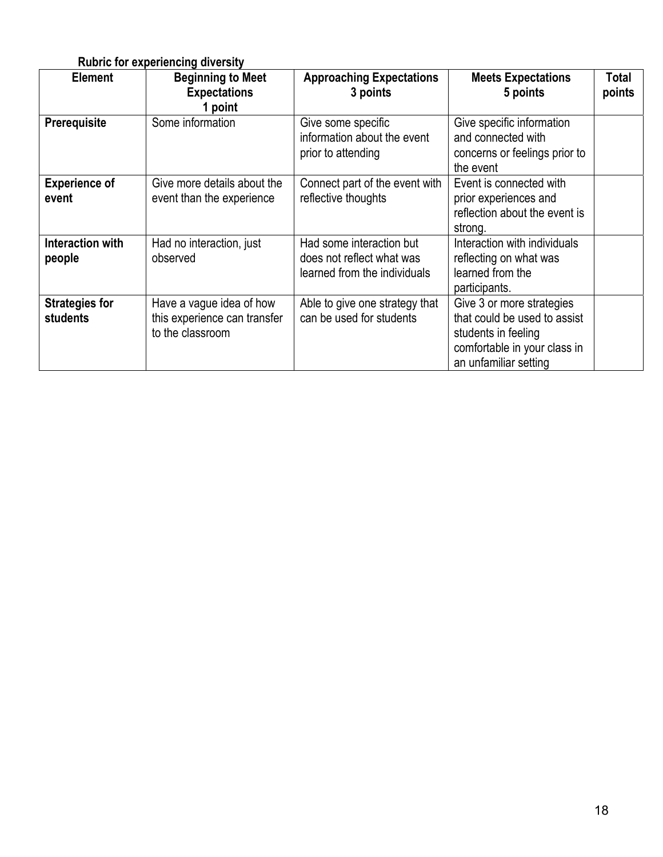|                                          | <b>Rubric for experiencing diversity</b>                                     |                                                                                       |                                                                                                                                           |                 |
|------------------------------------------|------------------------------------------------------------------------------|---------------------------------------------------------------------------------------|-------------------------------------------------------------------------------------------------------------------------------------------|-----------------|
| <b>Element</b>                           | <b>Beginning to Meet</b><br><b>Expectations</b><br>1 point                   | <b>Approaching Expectations</b><br>3 points                                           | <b>Meets Expectations</b><br>5 points                                                                                                     | Total<br>points |
| Prerequisite                             | Some information                                                             | Give some specific<br>information about the event<br>prior to attending               | Give specific information<br>and connected with<br>concerns or feelings prior to<br>the event                                             |                 |
| <b>Experience of</b><br>event            | Give more details about the<br>event than the experience                     | Connect part of the event with<br>reflective thoughts                                 | Event is connected with<br>prior experiences and<br>reflection about the event is<br>strong.                                              |                 |
| Interaction with<br>people               | Had no interaction, just<br>observed                                         | Had some interaction but<br>does not reflect what was<br>learned from the individuals | Interaction with individuals<br>reflecting on what was<br>learned from the<br>participants.                                               |                 |
| <b>Strategies for</b><br><b>students</b> | Have a vague idea of how<br>this experience can transfer<br>to the classroom | Able to give one strategy that<br>can be used for students                            | Give 3 or more strategies<br>that could be used to assist<br>students in feeling<br>comfortable in your class in<br>an unfamiliar setting |                 |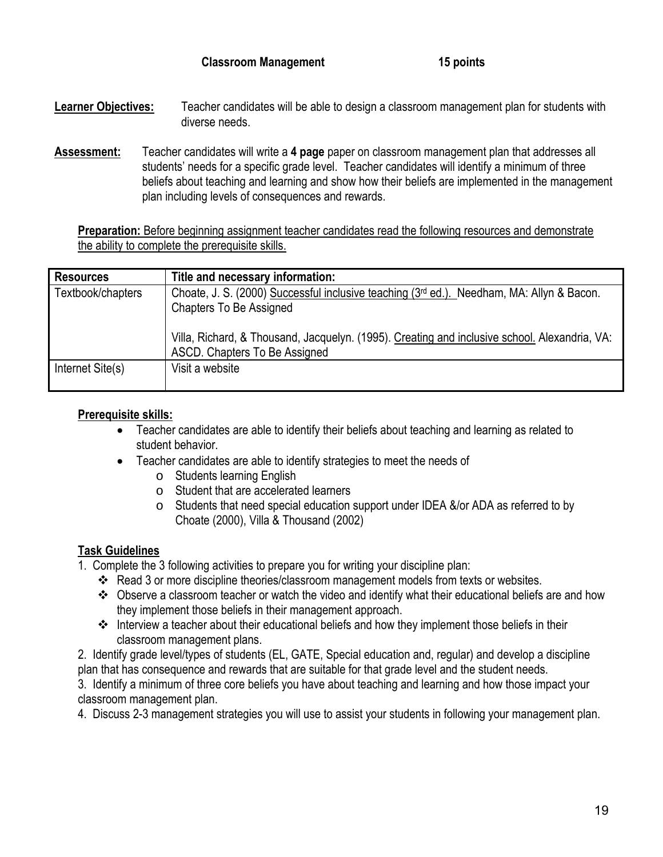- **Learner Objectives:** Teacher candidates will be able to design a classroom management plan for students with diverse needs.
- **Assessment:** Teacher candidates will write a **4 page** paper on classroom management plan that addresses all students' needs for a specific grade level. Teacher candidates will identify a minimum of three beliefs about teaching and learning and show how their beliefs are implemented in the management plan including levels of consequences and rewards.

**Preparation:** Before beginning assignment teacher candidates read the following resources and demonstrate the ability to complete the prerequisite skills.

| <b>Resources</b>  | Title and necessary information:                                                                                               |
|-------------------|--------------------------------------------------------------------------------------------------------------------------------|
| Textbook/chapters | Choate, J. S. (2000) Successful inclusive teaching (3rd ed.). Needham, MA: Allyn & Bacon.<br>Chapters To Be Assigned           |
|                   | Villa, Richard, & Thousand, Jacquelyn. (1995). Creating and inclusive school. Alexandria, VA:<br>ASCD. Chapters To Be Assigned |
| Internet Site(s)  | Visit a website                                                                                                                |

# **Prerequisite skills:**

- Teacher candidates are able to identify their beliefs about teaching and learning as related to student behavior.
- Teacher candidates are able to identify strategies to meet the needs of
	- o Students learning English
	- o Student that are accelerated learners
	- o Students that need special education support under IDEA &/or ADA as referred to by Choate (2000), Villa & Thousand (2002)

# **Task Guidelines**

- 1. Complete the 3 following activities to prepare you for writing your discipline plan:
	- Read 3 or more discipline theories/classroom management models from texts or websites.
	- Observe a classroom teacher or watch the video and identify what their educational beliefs are and how they implement those beliefs in their management approach.
	- $\triangleq$  Interview a teacher about their educational beliefs and how they implement those beliefs in their classroom management plans.
- 2. Identify grade level/types of students (EL, GATE, Special education and, regular) and develop a discipline plan that has consequence and rewards that are suitable for that grade level and the student needs.

3. Identify a minimum of three core beliefs you have about teaching and learning and how those impact your classroom management plan.

4. Discuss 2-3 management strategies you will use to assist your students in following your management plan.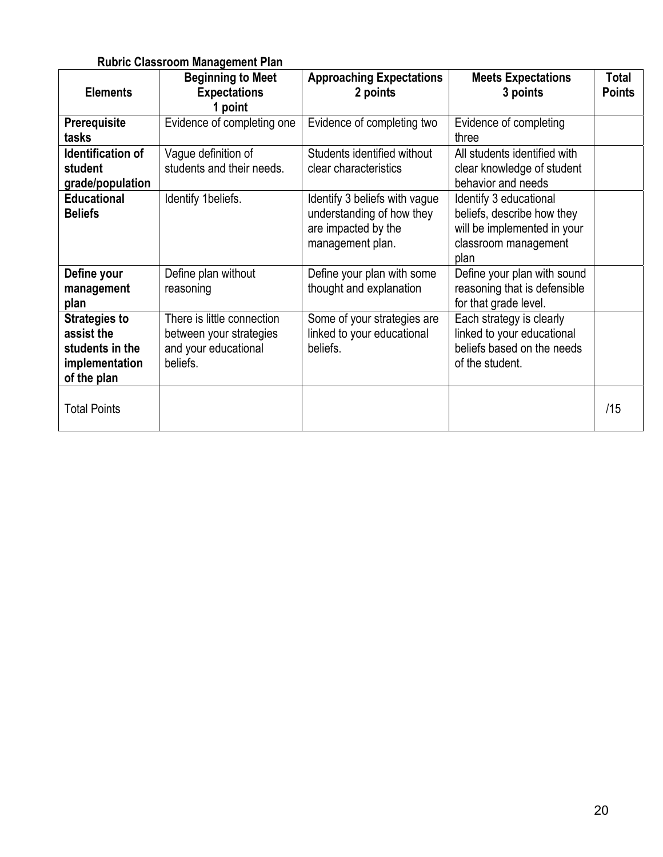# **Rubric Classroom Management Plan**

|                      | <b>Beginning to Meet</b>   | <b>Approaching Expectations</b> | <b>Meets Expectations</b>    | <b>Total</b>  |
|----------------------|----------------------------|---------------------------------|------------------------------|---------------|
| <b>Elements</b>      | <b>Expectations</b>        | 2 points                        | 3 points                     | <b>Points</b> |
|                      | 1 point                    |                                 |                              |               |
| <b>Prerequisite</b>  | Evidence of completing one | Evidence of completing two      | Evidence of completing       |               |
| tasks                |                            |                                 | three                        |               |
| Identification of    | Vague definition of        | Students identified without     | All students identified with |               |
| student              | students and their needs.  | clear characteristics           | clear knowledge of student   |               |
| grade/population     |                            |                                 | behavior and needs           |               |
| <b>Educational</b>   | Identify 1beliefs.         | Identify 3 beliefs with vague   | Identify 3 educational       |               |
| <b>Beliefs</b>       |                            | understanding of how they       | beliefs, describe how they   |               |
|                      |                            | are impacted by the             | will be implemented in your  |               |
|                      |                            | management plan.                | classroom management         |               |
|                      |                            |                                 | plan                         |               |
| Define your          | Define plan without        | Define your plan with some      | Define your plan with sound  |               |
| management           | reasoning                  | thought and explanation         | reasoning that is defensible |               |
| plan                 |                            |                                 | for that grade level.        |               |
| <b>Strategies to</b> | There is little connection | Some of your strategies are     | Each strategy is clearly     |               |
| assist the           | between your strategies    | linked to your educational      | linked to your educational   |               |
| students in the      | and your educational       | beliefs.                        | beliefs based on the needs   |               |
| implementation       | beliefs.                   |                                 | of the student.              |               |
| of the plan          |                            |                                 |                              |               |
|                      |                            |                                 |                              |               |
| <b>Total Points</b>  |                            |                                 |                              | /15           |
|                      |                            |                                 |                              |               |